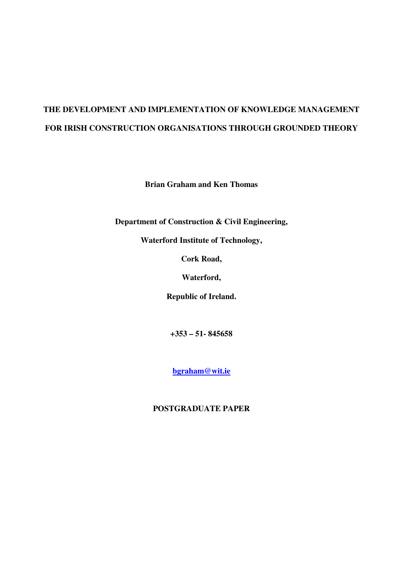# **THE DEVELOPMENT AND IMPLEMENTATION OF KNOWLEDGE MANAGEMENT FOR IRISH CONSTRUCTION ORGANISATIONS THROUGH GROUNDED THEORY**

**Brian Graham and Ken Thomas** 

**Department of Construction & Civil Engineering,** 

**Waterford Institute of Technology,** 

**Cork Road,** 

**Waterford,** 

**Republic of Ireland.** 

**+353 – 51- 845658** 

**bgraham@wit.ie**

**POSTGRADUATE PAPER**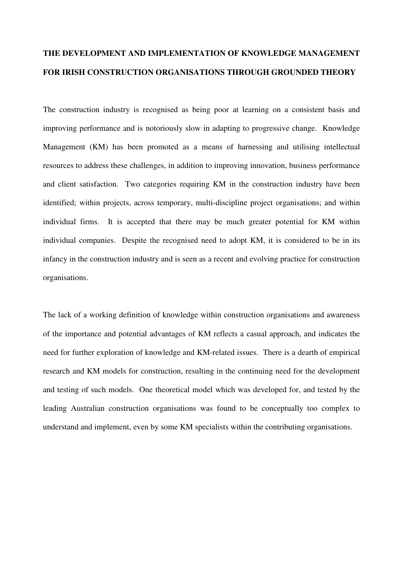## **THE DEVELOPMENT AND IMPLEMENTATION OF KNOWLEDGE MANAGEMENT FOR IRISH CONSTRUCTION ORGANISATIONS THROUGH GROUNDED THEORY**

The construction industry is recognised as being poor at learning on a consistent basis and improving performance and is notoriously slow in adapting to progressive change. Knowledge Management (KM) has been promoted as a means of harnessing and utilising intellectual resources to address these challenges, in addition to improving innovation, business performance and client satisfaction. Two categories requiring KM in the construction industry have been identified; within projects, across temporary, multi-discipline project organisations; and within individual firms. It is accepted that there may be much greater potential for KM within individual companies. Despite the recognised need to adopt KM, it is considered to be in its infancy in the construction industry and is seen as a recent and evolving practice for construction organisations.

The lack of a working definition of knowledge within construction organisations and awareness of the importance and potential advantages of KM reflects a casual approach, and indicates the need for further exploration of knowledge and KM-related issues. There is a dearth of empirical research and KM models for construction, resulting in the continuing need for the development and testing of such models. One theoretical model which was developed for, and tested by the leading Australian construction organisations was found to be conceptually too complex to understand and implement, even by some KM specialists within the contributing organisations.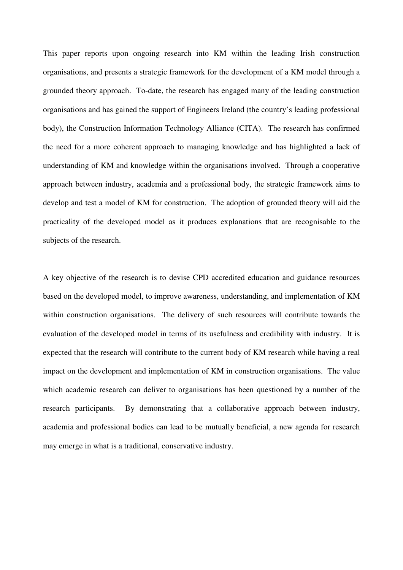This paper reports upon ongoing research into KM within the leading Irish construction organisations, and presents a strategic framework for the development of a KM model through a grounded theory approach. To-date, the research has engaged many of the leading construction organisations and has gained the support of Engineers Ireland (the country's leading professional body), the Construction Information Technology Alliance (CITA). The research has confirmed the need for a more coherent approach to managing knowledge and has highlighted a lack of understanding of KM and knowledge within the organisations involved. Through a cooperative approach between industry, academia and a professional body, the strategic framework aims to develop and test a model of KM for construction. The adoption of grounded theory will aid the practicality of the developed model as it produces explanations that are recognisable to the subjects of the research.

A key objective of the research is to devise CPD accredited education and guidance resources based on the developed model, to improve awareness, understanding, and implementation of KM within construction organisations. The delivery of such resources will contribute towards the evaluation of the developed model in terms of its usefulness and credibility with industry. It is expected that the research will contribute to the current body of KM research while having a real impact on the development and implementation of KM in construction organisations. The value which academic research can deliver to organisations has been questioned by a number of the research participants. By demonstrating that a collaborative approach between industry, academia and professional bodies can lead to be mutually beneficial, a new agenda for research may emerge in what is a traditional, conservative industry.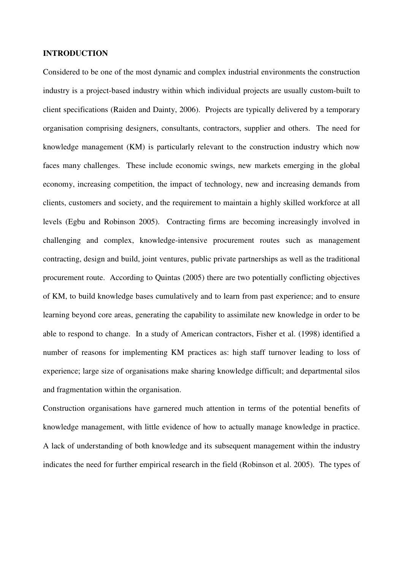#### **INTRODUCTION**

Considered to be one of the most dynamic and complex industrial environments the construction industry is a project-based industry within which individual projects are usually custom-built to client specifications (Raiden and Dainty, 2006). Projects are typically delivered by a temporary organisation comprising designers, consultants, contractors, supplier and others. The need for knowledge management (KM) is particularly relevant to the construction industry which now faces many challenges. These include economic swings, new markets emerging in the global economy, increasing competition, the impact of technology, new and increasing demands from clients, customers and society, and the requirement to maintain a highly skilled workforce at all levels (Egbu and Robinson 2005). Contracting firms are becoming increasingly involved in challenging and complex, knowledge-intensive procurement routes such as management contracting, design and build, joint ventures, public private partnerships as well as the traditional procurement route. According to Quintas (2005) there are two potentially conflicting objectives of KM, to build knowledge bases cumulatively and to learn from past experience; and to ensure learning beyond core areas, generating the capability to assimilate new knowledge in order to be able to respond to change. In a study of American contractors, Fisher et al. (1998) identified a number of reasons for implementing KM practices as: high staff turnover leading to loss of experience; large size of organisations make sharing knowledge difficult; and departmental silos and fragmentation within the organisation.

Construction organisations have garnered much attention in terms of the potential benefits of knowledge management, with little evidence of how to actually manage knowledge in practice. A lack of understanding of both knowledge and its subsequent management within the industry indicates the need for further empirical research in the field (Robinson et al. 2005). The types of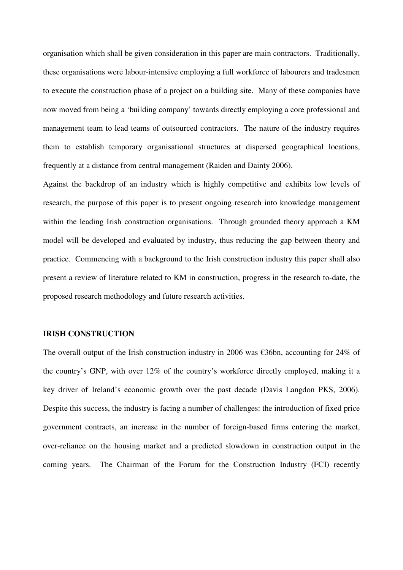organisation which shall be given consideration in this paper are main contractors. Traditionally, these organisations were labour-intensive employing a full workforce of labourers and tradesmen to execute the construction phase of a project on a building site. Many of these companies have now moved from being a 'building company' towards directly employing a core professional and management team to lead teams of outsourced contractors. The nature of the industry requires them to establish temporary organisational structures at dispersed geographical locations, frequently at a distance from central management (Raiden and Dainty 2006).

Against the backdrop of an industry which is highly competitive and exhibits low levels of research, the purpose of this paper is to present ongoing research into knowledge management within the leading Irish construction organisations. Through grounded theory approach a KM model will be developed and evaluated by industry, thus reducing the gap between theory and practice. Commencing with a background to the Irish construction industry this paper shall also present a review of literature related to KM in construction, progress in the research to-date, the proposed research methodology and future research activities.

## **IRISH CONSTRUCTION**

The overall output of the Irish construction industry in 2006 was  $\epsilon$ 36bn, accounting for 24% of the country's GNP, with over 12% of the country's workforce directly employed, making it a key driver of Ireland's economic growth over the past decade (Davis Langdon PKS, 2006). Despite this success, the industry is facing a number of challenges: the introduction of fixed price government contracts, an increase in the number of foreign-based firms entering the market, over-reliance on the housing market and a predicted slowdown in construction output in the coming years. The Chairman of the Forum for the Construction Industry (FCI) recently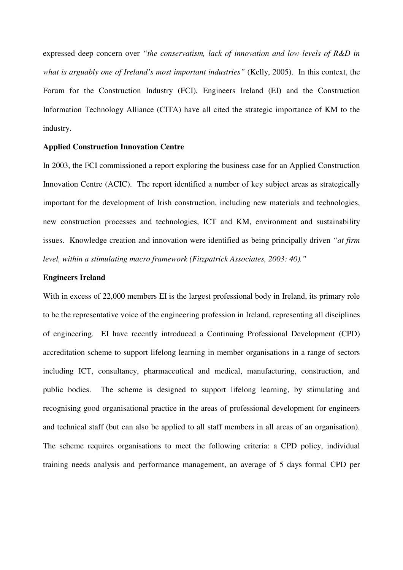expressed deep concern over *"the conservatism, lack of innovation and low levels of R&D in*  what is arguably one of Ireland's most important industries" (Kelly, 2005). In this context, the Forum for the Construction Industry (FCI), Engineers Ireland (EI) and the Construction Information Technology Alliance (CITA) have all cited the strategic importance of KM to the industry.

## **Applied Construction Innovation Centre**

In 2003, the FCI commissioned a report exploring the business case for an Applied Construction Innovation Centre (ACIC). The report identified a number of key subject areas as strategically important for the development of Irish construction, including new materials and technologies, new construction processes and technologies, ICT and KM, environment and sustainability issues. Knowledge creation and innovation were identified as being principally driven *"at firm level, within a stimulating macro framework (Fitzpatrick Associates, 2003: 40)."*

#### **Engineers Ireland**

With in excess of 22,000 members EI is the largest professional body in Ireland, its primary role to be the representative voice of the engineering profession in Ireland, representing all disciplines of engineering. EI have recently introduced a Continuing Professional Development (CPD) accreditation scheme to support lifelong learning in member organisations in a range of sectors including ICT, consultancy, pharmaceutical and medical, manufacturing, construction, and public bodies. The scheme is designed to support lifelong learning, by stimulating and recognising good organisational practice in the areas of professional development for engineers and technical staff (but can also be applied to all staff members in all areas of an organisation). The scheme requires organisations to meet the following criteria: a CPD policy, individual training needs analysis and performance management, an average of 5 days formal CPD per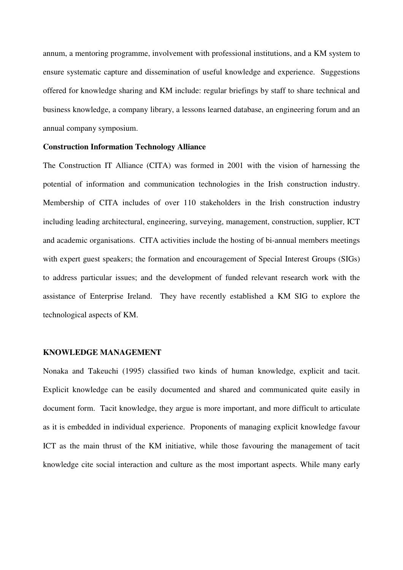annum, a mentoring programme, involvement with professional institutions, and a KM system to ensure systematic capture and dissemination of useful knowledge and experience. Suggestions offered for knowledge sharing and KM include: regular briefings by staff to share technical and business knowledge, a company library, a lessons learned database, an engineering forum and an annual company symposium.

## **Construction Information Technology Alliance**

The Construction IT Alliance (CITA) was formed in 2001 with the vision of harnessing the potential of information and communication technologies in the Irish construction industry. Membership of CITA includes of over 110 stakeholders in the Irish construction industry including leading architectural, engineering, surveying, management, construction, supplier, ICT and academic organisations. CITA activities include the hosting of bi-annual members meetings with expert guest speakers; the formation and encouragement of Special Interest Groups (SIGs) to address particular issues; and the development of funded relevant research work with the assistance of Enterprise Ireland. They have recently established a KM SIG to explore the technological aspects of KM.

#### **KNOWLEDGE MANAGEMENT**

Nonaka and Takeuchi (1995) classified two kinds of human knowledge, explicit and tacit. Explicit knowledge can be easily documented and shared and communicated quite easily in document form. Tacit knowledge, they argue is more important, and more difficult to articulate as it is embedded in individual experience.Proponents of managing explicit knowledge favour ICT as the main thrust of the KM initiative, while those favouring the management of tacit knowledge cite social interaction and culture as the most important aspects. While many early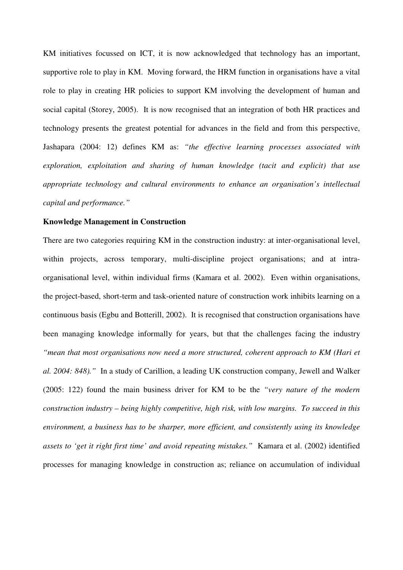KM initiatives focussed on ICT, it is now acknowledged that technology has an important, supportive role to play in KM. Moving forward, the HRM function in organisations have a vital role to play in creating HR policies to support KM involving the development of human and social capital (Storey, 2005). It is now recognised that an integration of both HR practices and technology presents the greatest potential for advances in the field and from this perspective, Jashapara (2004: 12) defines KM as: *"the effective learning processes associated with exploration, exploitation and sharing of human knowledge (tacit and explicit) that use appropriate technology and cultural environments to enhance an organisation's intellectual capital and performance."* 

## **Knowledge Management in Construction**

There are two categories requiring KM in the construction industry: at inter-organisational level, within projects, across temporary, multi-discipline project organisations; and at intraorganisational level, within individual firms (Kamara et al. 2002). Even within organisations, the project-based, short-term and task-oriented nature of construction work inhibits learning on a continuous basis (Egbu and Botterill, 2002). It is recognised that construction organisations have been managing knowledge informally for years, but that the challenges facing the industry *"mean that most organisations now need a more structured, coherent approach to KM (Hari et al. 2004: 848)."* In a study of Carillion, a leading UK construction company, Jewell and Walker (2005: 122) found the main business driver for KM to be the *"very nature of the modern construction industry – being highly competitive, high risk, with low margins. To succeed in this environment, a business has to be sharper, more efficient, and consistently using its knowledge assets to 'get it right first time' and avoid repeating mistakes."* Kamara et al. (2002) identified processes for managing knowledge in construction as; reliance on accumulation of individual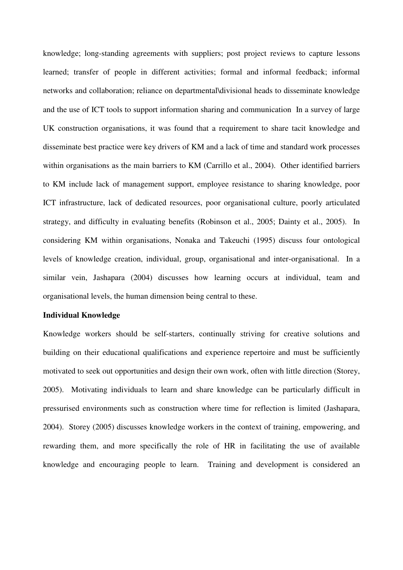knowledge; long-standing agreements with suppliers; post project reviews to capture lessons learned; transfer of people in different activities; formal and informal feedback; informal networks and collaboration; reliance on departmental\divisional heads to disseminate knowledge and the use of ICT tools to support information sharing and communication In a survey of large UK construction organisations, it was found that a requirement to share tacit knowledge and disseminate best practice were key drivers of KM and a lack of time and standard work processes within organisations as the main barriers to KM (Carrillo et al., 2004). Other identified barriers to KM include lack of management support, employee resistance to sharing knowledge, poor ICT infrastructure, lack of dedicated resources, poor organisational culture, poorly articulated strategy, and difficulty in evaluating benefits (Robinson et al., 2005; Dainty et al., 2005). In considering KM within organisations, Nonaka and Takeuchi (1995) discuss four ontological levels of knowledge creation, individual, group, organisational and inter-organisational. In a similar vein, Jashapara (2004) discusses how learning occurs at individual, team and organisational levels, the human dimension being central to these.

## **Individual Knowledge**

Knowledge workers should be self-starters, continually striving for creative solutions and building on their educational qualifications and experience repertoire and must be sufficiently motivated to seek out opportunities and design their own work, often with little direction (Storey, 2005). Motivating individuals to learn and share knowledge can be particularly difficult in pressurised environments such as construction where time for reflection is limited (Jashapara, 2004). Storey (2005) discusses knowledge workers in the context of training, empowering, and rewarding them, and more specifically the role of HR in facilitating the use of available knowledge and encouraging people to learn. Training and development is considered an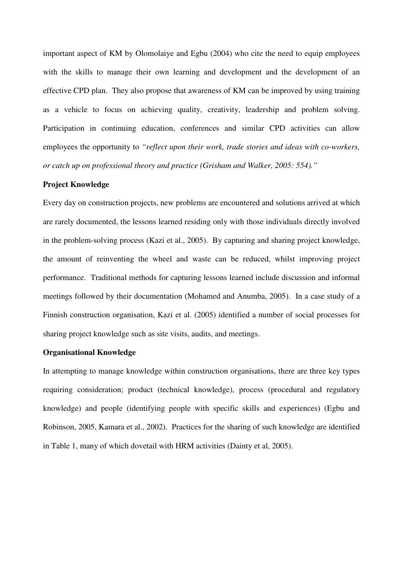important aspect of KM by Olomolaiye and Egbu (2004) who cite the need to equip employees with the skills to manage their own learning and development and the development of an effective CPD plan. They also propose that awareness of KM can be improved by using training as a vehicle to focus on achieving quality, creativity, leadership and problem solving. Participation in continuing education, conferences and similar CPD activities can allow employees the opportunity to *"reflect upon their work, trade stories and ideas with co-workers, or catch up on professional theory and practice (Grisham and Walker, 2005: 554)."* 

#### **Project Knowledge**

Every day on construction projects, new problems are encountered and solutions arrived at which are rarely documented, the lessons learned residing only with those individuals directly involved in the problem-solving process (Kazi et al., 2005). By capturing and sharing project knowledge, the amount of reinventing the wheel and waste can be reduced, whilst improving project performance. Traditional methods for capturing lessons learned include discussion and informal meetings followed by their documentation (Mohamed and Anumba, 2005). In a case study of a Finnish construction organisation, Kazi et al. (2005) identified a number of social processes for sharing project knowledge such as site visits, audits, and meetings.

## **Organisational Knowledge**

In attempting to manage knowledge within construction organisations, there are three key types requiring consideration; product (technical knowledge), process (procedural and regulatory knowledge) and people (identifying people with specific skills and experiences) (Egbu and Robinson, 2005, Kamara et al., 2002). Practices for the sharing of such knowledge are identified in Table 1, many of which dovetail with HRM activities (Dainty et al, 2005).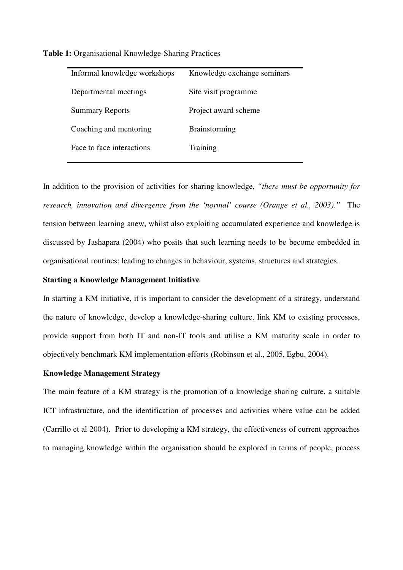| Informal knowledge workshops | Knowledge exchange seminars |
|------------------------------|-----------------------------|
| Departmental meetings        | Site visit programme        |
| <b>Summary Reports</b>       | Project award scheme        |
| Coaching and mentoring       | <b>Brainstorming</b>        |
| Face to face interactions    | Training                    |
|                              |                             |

**Table 1:** Organisational Knowledge-Sharing Practices

In addition to the provision of activities for sharing knowledge, *"there must be opportunity for research, innovation and divergence from the 'normal' course (Orange et al., 2003)."* The tension between learning anew, whilst also exploiting accumulated experience and knowledge is discussed by Jashapara (2004) who posits that such learning needs to be become embedded in organisational routines; leading to changes in behaviour, systems, structures and strategies.

#### **Starting a Knowledge Management Initiative**

In starting a KM initiative, it is important to consider the development of a strategy, understand the nature of knowledge, develop a knowledge-sharing culture, link KM to existing processes, provide support from both IT and non-IT tools and utilise a KM maturity scale in order to objectively benchmark KM implementation efforts (Robinson et al., 2005, Egbu, 2004).

#### **Knowledge Management Strategy**

The main feature of a KM strategy is the promotion of a knowledge sharing culture, a suitable ICT infrastructure, and the identification of processes and activities where value can be added (Carrillo et al 2004). Prior to developing a KM strategy, the effectiveness of current approaches to managing knowledge within the organisation should be explored in terms of people, process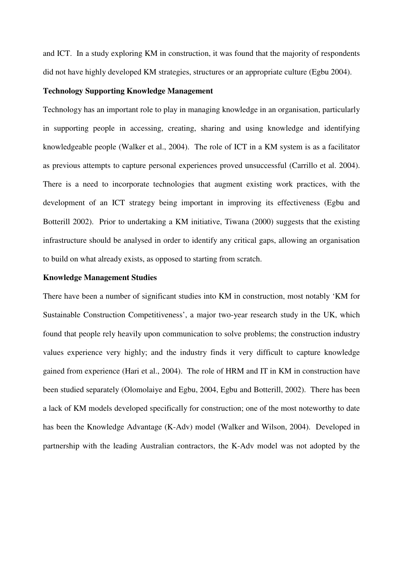and ICT. In a study exploring KM in construction, it was found that the majority of respondents did not have highly developed KM strategies, structures or an appropriate culture (Egbu 2004).

#### **Technology Supporting Knowledge Management**

Technology has an important role to play in managing knowledge in an organisation, particularly in supporting people in accessing, creating, sharing and using knowledge and identifying knowledgeable people (Walker et al., 2004). The role of ICT in a KM system is as a facilitator as previous attempts to capture personal experiences proved unsuccessful (Carrillo et al. 2004). There is a need to incorporate technologies that augment existing work practices, with the development of an ICT strategy being important in improving its effectiveness (Egbu and Botterill 2002). Prior to undertaking a KM initiative, Tiwana (2000) suggests that the existing infrastructure should be analysed in order to identify any critical gaps, allowing an organisation to build on what already exists, as opposed to starting from scratch.

#### **Knowledge Management Studies**

There have been a number of significant studies into KM in construction, most notably 'KM for Sustainable Construction Competitiveness', a major two-year research study in the UK, which found that people rely heavily upon communication to solve problems; the construction industry values experience very highly; and the industry finds it very difficult to capture knowledge gained from experience (Hari et al., 2004). The role of HRM and IT in KM in construction have been studied separately (Olomolaiye and Egbu, 2004, Egbu and Botterill, 2002). There has been a lack of KM models developed specifically for construction; one of the most noteworthy to date has been the Knowledge Advantage (K-Adv) model (Walker and Wilson, 2004). Developed in partnership with the leading Australian contractors, the K-Adv model was not adopted by the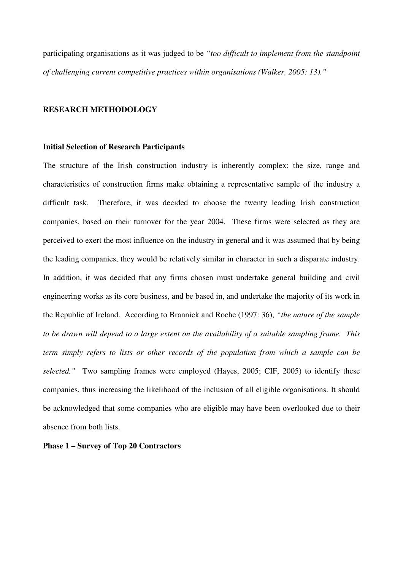participating organisations as it was judged to be *"too difficult to implement from the standpoint of challenging current competitive practices within organisations (Walker, 2005: 13)."*

## **RESEARCH METHODOLOGY**

#### **Initial Selection of Research Participants**

The structure of the Irish construction industry is inherently complex; the size, range and characteristics of construction firms make obtaining a representative sample of the industry a difficult task. Therefore, it was decided to choose the twenty leading Irish construction companies, based on their turnover for the year 2004. These firms were selected as they are perceived to exert the most influence on the industry in general and it was assumed that by being the leading companies, they would be relatively similar in character in such a disparate industry. In addition, it was decided that any firms chosen must undertake general building and civil engineering works as its core business, and be based in, and undertake the majority of its work in the Republic of Ireland. According to Brannick and Roche (1997: 36), *"the nature of the sample to be drawn will depend to a large extent on the availability of a suitable sampling frame. This term simply refers to lists or other records of the population from which a sample can be selected."* Two sampling frames were employed (Hayes, 2005; CIF, 2005) to identify these companies, thus increasing the likelihood of the inclusion of all eligible organisations. It should be acknowledged that some companies who are eligible may have been overlooked due to their absence from both lists.

## **Phase 1 – Survey of Top 20 Contractors**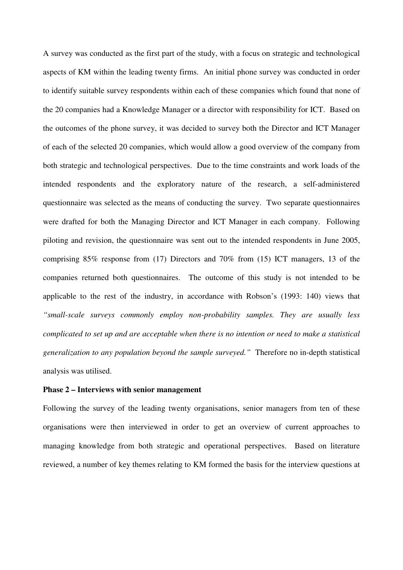A survey was conducted as the first part of the study, with a focus on strategic and technological aspects of KM within the leading twenty firms. An initial phone survey was conducted in order to identify suitable survey respondents within each of these companies which found that none of the 20 companies had a Knowledge Manager or a director with responsibility for ICT. Based on the outcomes of the phone survey, it was decided to survey both the Director and ICT Manager of each of the selected 20 companies, which would allow a good overview of the company from both strategic and technological perspectives. Due to the time constraints and work loads of the intended respondents and the exploratory nature of the research, a self-administered questionnaire was selected as the means of conducting the survey. Two separate questionnaires were drafted for both the Managing Director and ICT Manager in each company. Following piloting and revision, the questionnaire was sent out to the intended respondents in June 2005, comprising 85% response from (17) Directors and 70% from (15) ICT managers, 13 of the companies returned both questionnaires. The outcome of this study is not intended to be applicable to the rest of the industry, in accordance with Robson's (1993: 140) views that *"small-scale surveys commonly employ non-probability samples. They are usually less complicated to set up and are acceptable when there is no intention or need to make a statistical generalization to any population beyond the sample surveyed."* Therefore no in-depth statistical analysis was utilised.

## **Phase 2 – Interviews with senior management**

Following the survey of the leading twenty organisations, senior managers from ten of these organisations were then interviewed in order to get an overview of current approaches to managing knowledge from both strategic and operational perspectives. Based on literature reviewed, a number of key themes relating to KM formed the basis for the interview questions at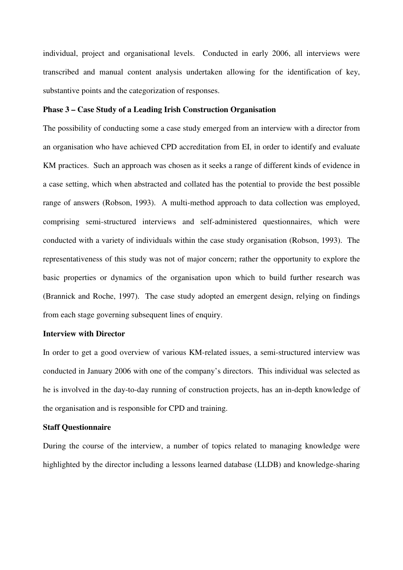individual, project and organisational levels. Conducted in early 2006, all interviews were transcribed and manual content analysis undertaken allowing for the identification of key, substantive points and the categorization of responses.

## **Phase 3 – Case Study of a Leading Irish Construction Organisation**

The possibility of conducting some a case study emerged from an interview with a director from an organisation who have achieved CPD accreditation from EI, in order to identify and evaluate KM practices. Such an approach was chosen as it seeks a range of different kinds of evidence in a case setting, which when abstracted and collated has the potential to provide the best possible range of answers (Robson, 1993). A multi-method approach to data collection was employed, comprising semi-structured interviews and self-administered questionnaires, which were conducted with a variety of individuals within the case study organisation (Robson, 1993). The representativeness of this study was not of major concern; rather the opportunity to explore the basic properties or dynamics of the organisation upon which to build further research was (Brannick and Roche, 1997). The case study adopted an emergent design, relying on findings from each stage governing subsequent lines of enquiry.

## **Interview with Director**

In order to get a good overview of various KM-related issues, a semi-structured interview was conducted in January 2006 with one of the company's directors. This individual was selected as he is involved in the day-to-day running of construction projects, has an in-depth knowledge of the organisation and is responsible for CPD and training.

## **Staff Questionnaire**

During the course of the interview, a number of topics related to managing knowledge were highlighted by the director including a lessons learned database (LLDB) and knowledge-sharing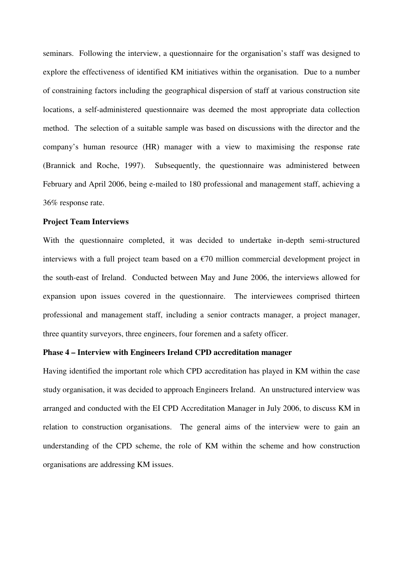seminars. Following the interview, a questionnaire for the organisation's staff was designed to explore the effectiveness of identified KM initiatives within the organisation. Due to a number of constraining factors including the geographical dispersion of staff at various construction site locations, a self-administered questionnaire was deemed the most appropriate data collection method. The selection of a suitable sample was based on discussions with the director and the company's human resource (HR) manager with a view to maximising the response rate (Brannick and Roche, 1997). Subsequently, the questionnaire was administered between February and April 2006, being e-mailed to 180 professional and management staff, achieving a 36% response rate.

#### **Project Team Interviews**

With the questionnaire completed, it was decided to undertake in-depth semi-structured interviews with a full project team based on a  $\epsilon$ 70 million commercial development project in the south-east of Ireland. Conducted between May and June 2006, the interviews allowed for expansion upon issues covered in the questionnaire. The interviewees comprised thirteen professional and management staff, including a senior contracts manager, a project manager, three quantity surveyors, three engineers, four foremen and a safety officer.

## **Phase 4 – Interview with Engineers Ireland CPD accreditation manager**

Having identified the important role which CPD accreditation has played in KM within the case study organisation, it was decided to approach Engineers Ireland. An unstructured interview was arranged and conducted with the EI CPD Accreditation Manager in July 2006, to discuss KM in relation to construction organisations. The general aims of the interview were to gain an understanding of the CPD scheme, the role of KM within the scheme and how construction organisations are addressing KM issues.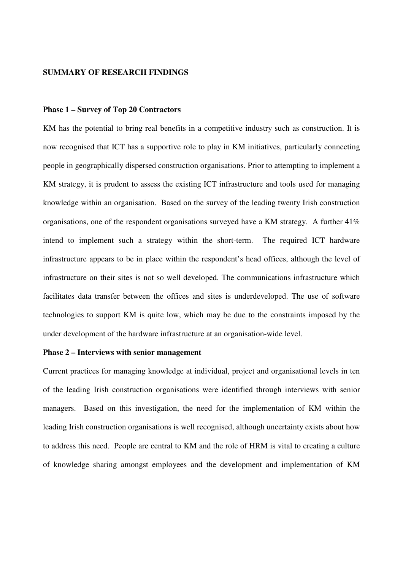#### **SUMMARY OF RESEARCH FINDINGS**

## **Phase 1 – Survey of Top 20 Contractors**

KM has the potential to bring real benefits in a competitive industry such as construction. It is now recognised that ICT has a supportive role to play in KM initiatives, particularly connecting people in geographically dispersed construction organisations. Prior to attempting to implement a KM strategy, it is prudent to assess the existing ICT infrastructure and tools used for managing knowledge within an organisation. Based on the survey of the leading twenty Irish construction organisations, one of the respondent organisations surveyed have a KM strategy. A further 41% intend to implement such a strategy within the short-term. The required ICT hardware infrastructure appears to be in place within the respondent's head offices, although the level of infrastructure on their sites is not so well developed. The communications infrastructure which facilitates data transfer between the offices and sites is underdeveloped. The use of software technologies to support KM is quite low, which may be due to the constraints imposed by the under development of the hardware infrastructure at an organisation-wide level.

## **Phase 2 – Interviews with senior management**

Current practices for managing knowledge at individual, project and organisational levels in ten of the leading Irish construction organisations were identified through interviews with senior managers. Based on this investigation, the need for the implementation of KM within the leading Irish construction organisations is well recognised, although uncertainty exists about how to address this need. People are central to KM and the role of HRM is vital to creating a culture of knowledge sharing amongst employees and the development and implementation of KM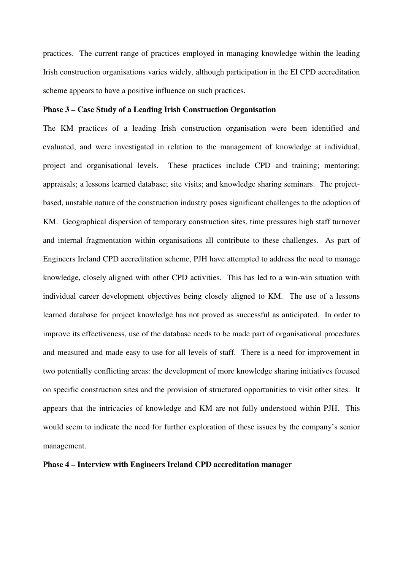practices. The current range of practices employed in managing knowledge within the leading Irish construction organisations varies widely, although participation in the EI CPD accreditation scheme appears to have a positive influence on such practices.

## **Phase 3 – Case Study of a Leading Irish Construction Organisation**

The KM practices of a leading Irish construction organisation were been identified and evaluated, and were investigated in relation to the management of knowledge at individual, project and organisational levels. These practices include CPD and training; mentoring; appraisals; a lessons learned database; site visits; and knowledge sharing seminars. The projectbased, unstable nature of the construction industry poses significant challenges to the adoption of KM. Geographical dispersion of temporary construction sites, time pressures high staff turnover and internal fragmentation within organisations all contribute to these challenges. As part of Engineers Ireland CPD accreditation scheme, PJH have attempted to address the need to manage knowledge, closely aligned with other CPD activities. This has led to a win-win situation with individual career development objectives being closely aligned to KM. The use of a lessons learned database for project knowledge has not proved as successful as anticipated. In order to improve its effectiveness, use of the database needs to be made part of organisational procedures and measured and made easy to use for all levels of staff. There is a need for improvement in two potentially conflicting areas: the development of more knowledge sharing initiatives focused on specific construction sites and the provision of structured opportunities to visit other sites. It appears that the intricacies of knowledge and KM are not fully understood within PJH. This would seem to indicate the need for further exploration of these issues by the company's senior management.

## **Phase 4 – Interview with Engineers Ireland CPD accreditation manager**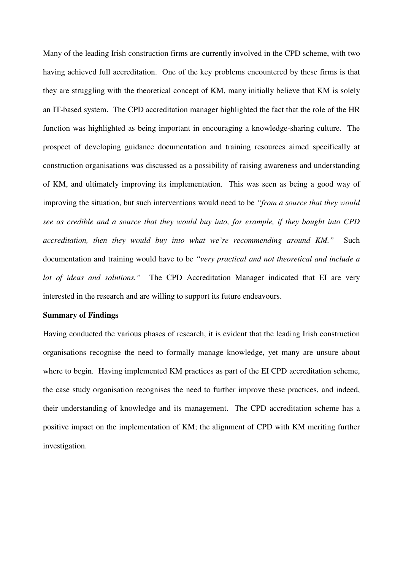Many of the leading Irish construction firms are currently involved in the CPD scheme, with two having achieved full accreditation. One of the key problems encountered by these firms is that they are struggling with the theoretical concept of KM, many initially believe that KM is solely an IT-based system. The CPD accreditation manager highlighted the fact that the role of the HR function was highlighted as being important in encouraging a knowledge-sharing culture. The prospect of developing guidance documentation and training resources aimed specifically at construction organisations was discussed as a possibility of raising awareness and understanding of KM, and ultimately improving its implementation. This was seen as being a good way of improving the situation, but such interventions would need to be *"from a source that they would see as credible and a source that they would buy into, for example, if they bought into CPD accreditation, then they would buy into what we're recommending around KM."* Such documentation and training would have to be *"very practical and not theoretical and include a lot of ideas and solutions."* The CPD Accreditation Manager indicated that EI are very interested in the research and are willing to support its future endeavours.

## **Summary of Findings**

Having conducted the various phases of research, it is evident that the leading Irish construction organisations recognise the need to formally manage knowledge, yet many are unsure about where to begin. Having implemented KM practices as part of the EI CPD accreditation scheme, the case study organisation recognises the need to further improve these practices, and indeed, their understanding of knowledge and its management. The CPD accreditation scheme has a positive impact on the implementation of KM; the alignment of CPD with KM meriting further investigation.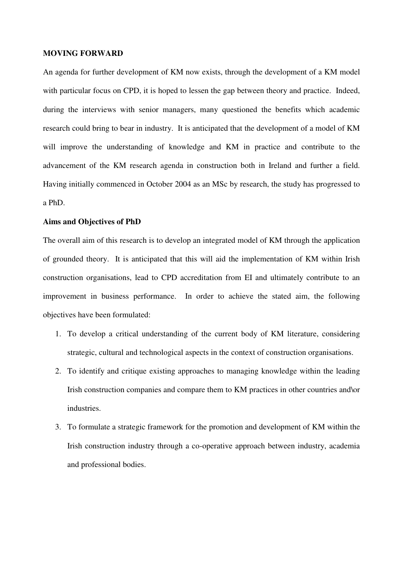#### **MOVING FORWARD**

An agenda for further development of KM now exists, through the development of a KM model with particular focus on CPD, it is hoped to lessen the gap between theory and practice. Indeed, during the interviews with senior managers, many questioned the benefits which academic research could bring to bear in industry. It is anticipated that the development of a model of KM will improve the understanding of knowledge and KM in practice and contribute to the advancement of the KM research agenda in construction both in Ireland and further a field. Having initially commenced in October 2004 as an MSc by research, the study has progressed to a PhD.

## **Aims and Objectives of PhD**

The overall aim of this research is to develop an integrated model of KM through the application of grounded theory. It is anticipated that this will aid the implementation of KM within Irish construction organisations, lead to CPD accreditation from EI and ultimately contribute to an improvement in business performance. In order to achieve the stated aim, the following objectives have been formulated:

- 1. To develop a critical understanding of the current body of KM literature, considering strategic, cultural and technological aspects in the context of construction organisations.
- 2. To identify and critique existing approaches to managing knowledge within the leading Irish construction companies and compare them to KM practices in other countries and \or industries.
- 3. To formulate a strategic framework for the promotion and development of KM within the Irish construction industry through a co-operative approach between industry, academia and professional bodies.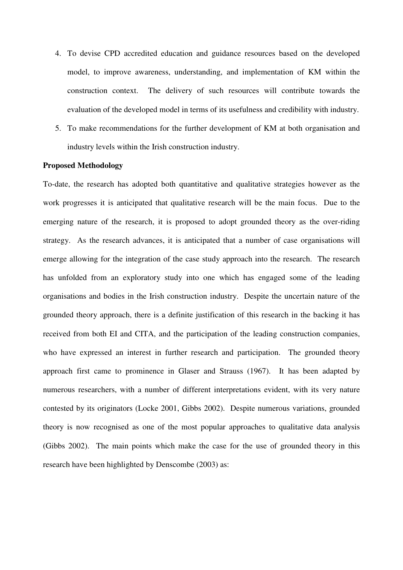- 4. To devise CPD accredited education and guidance resources based on the developed model, to improve awareness, understanding, and implementation of KM within the construction context. The delivery of such resources will contribute towards the evaluation of the developed model in terms of its usefulness and credibility with industry.
- 5. To make recommendations for the further development of KM at both organisation and industry levels within the Irish construction industry.

#### **Proposed Methodology**

To-date, the research has adopted both quantitative and qualitative strategies however as the work progresses it is anticipated that qualitative research will be the main focus. Due to the emerging nature of the research, it is proposed to adopt grounded theory as the over-riding strategy. As the research advances, it is anticipated that a number of case organisations will emerge allowing for the integration of the case study approach into the research. The research has unfolded from an exploratory study into one which has engaged some of the leading organisations and bodies in the Irish construction industry. Despite the uncertain nature of the grounded theory approach, there is a definite justification of this research in the backing it has received from both EI and CITA, and the participation of the leading construction companies, who have expressed an interest in further research and participation. The grounded theory approach first came to prominence in Glaser and Strauss (1967). It has been adapted by numerous researchers, with a number of different interpretations evident, with its very nature contested by its originators (Locke 2001, Gibbs 2002). Despite numerous variations, grounded theory is now recognised as one of the most popular approaches to qualitative data analysis (Gibbs 2002). The main points which make the case for the use of grounded theory in this research have been highlighted by Denscombe (2003) as: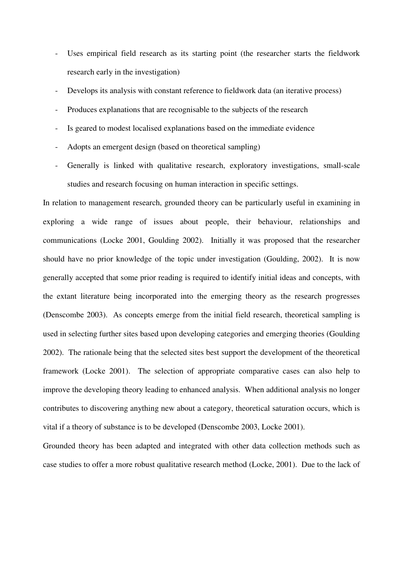- Uses empirical field research as its starting point (the researcher starts the fieldwork research early in the investigation)
- Develops its analysis with constant reference to fieldwork data (an iterative process)
- Produces explanations that are recognisable to the subjects of the research
- Is geared to modest localised explanations based on the immediate evidence
- Adopts an emergent design (based on theoretical sampling)
- Generally is linked with qualitative research, exploratory investigations, small-scale studies and research focusing on human interaction in specific settings.

In relation to management research, grounded theory can be particularly useful in examining in exploring a wide range of issues about people, their behaviour, relationships and communications (Locke 2001, Goulding 2002). Initially it was proposed that the researcher should have no prior knowledge of the topic under investigation (Goulding, 2002). It is now generally accepted that some prior reading is required to identify initial ideas and concepts, with the extant literature being incorporated into the emerging theory as the research progresses (Denscombe 2003). As concepts emerge from the initial field research, theoretical sampling is used in selecting further sites based upon developing categories and emerging theories (Goulding 2002). The rationale being that the selected sites best support the development of the theoretical framework (Locke 2001). The selection of appropriate comparative cases can also help to improve the developing theory leading to enhanced analysis. When additional analysis no longer contributes to discovering anything new about a category, theoretical saturation occurs, which is vital if a theory of substance is to be developed (Denscombe 2003, Locke 2001).

Grounded theory has been adapted and integrated with other data collection methods such as case studies to offer a more robust qualitative research method (Locke, 2001).Due to the lack of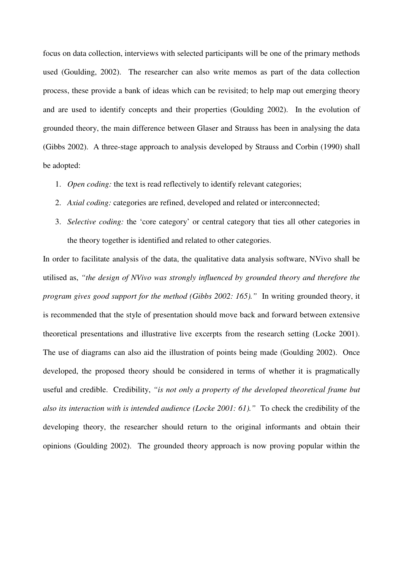focus on data collection, interviews with selected participants will be one of the primary methods used (Goulding, 2002). The researcher can also write memos as part of the data collection process, these provide a bank of ideas which can be revisited; to help map out emerging theory and are used to identify concepts and their properties (Goulding 2002). In the evolution of grounded theory, the main difference between Glaser and Strauss has been in analysing the data (Gibbs 2002). A three-stage approach to analysis developed by Strauss and Corbin (1990) shall be adopted:

- 1. *Open coding:* the text is read reflectively to identify relevant categories;
- 2. *Axial coding:* categories are refined, developed and related or interconnected;
- 3. *Selective coding:* the 'core category' or central category that ties all other categories in the theory together is identified and related to other categories.

In order to facilitate analysis of the data, the qualitative data analysis software, NVivo shall be utilised as, *"the design of NVivo was strongly influenced by grounded theory and therefore the program gives good support for the method (Gibbs 2002: 165)."* In writing grounded theory, it is recommended that the style of presentation should move back and forward between extensive theoretical presentations and illustrative live excerpts from the research setting (Locke 2001). The use of diagrams can also aid the illustration of points being made (Goulding 2002). Once developed, the proposed theory should be considered in terms of whether it is pragmatically useful and credible. Credibility, *"is not only a property of the developed theoretical frame but also its interaction with is intended audience (Locke 2001: 61)."* To check the credibility of the developing theory, the researcher should return to the original informants and obtain their opinions (Goulding 2002). The grounded theory approach is now proving popular within the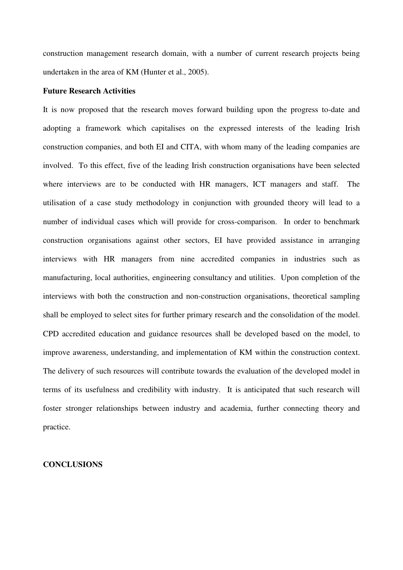construction management research domain, with a number of current research projects being undertaken in the area of KM (Hunter et al., 2005).

#### **Future Research Activities**

It is now proposed that the research moves forward building upon the progress to-date and adopting a framework which capitalises on the expressed interests of the leading Irish construction companies, and both EI and CITA, with whom many of the leading companies are involved. To this effect, five of the leading Irish construction organisations have been selected where interviews are to be conducted with HR managers, ICT managers and staff. The utilisation of a case study methodology in conjunction with grounded theory will lead to a number of individual cases which will provide for cross-comparison. In order to benchmark construction organisations against other sectors, EI have provided assistance in arranging interviews with HR managers from nine accredited companies in industries such as manufacturing, local authorities, engineering consultancy and utilities. Upon completion of the interviews with both the construction and non-construction organisations, theoretical sampling shall be employed to select sites for further primary research and the consolidation of the model. CPD accredited education and guidance resources shall be developed based on the model, to improve awareness, understanding, and implementation of KM within the construction context. The delivery of such resources will contribute towards the evaluation of the developed model in terms of its usefulness and credibility with industry. It is anticipated that such research will foster stronger relationships between industry and academia, further connecting theory and practice.

## **CONCLUSIONS**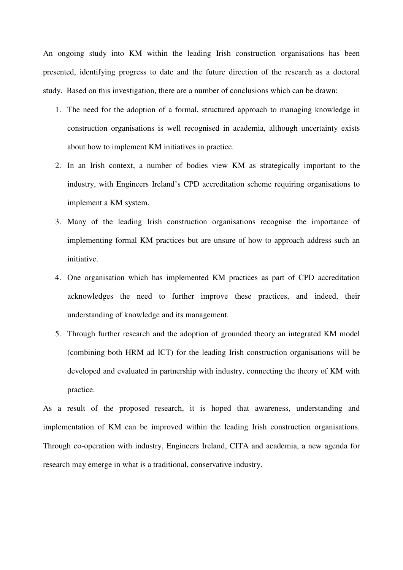An ongoing study into KM within the leading Irish construction organisations has been presented, identifying progress to date and the future direction of the research as a doctoral study. Based on this investigation, there are a number of conclusions which can be drawn:

- 1. The need for the adoption of a formal, structured approach to managing knowledge in construction organisations is well recognised in academia, although uncertainty exists about how to implement KM initiatives in practice.
- 2. In an Irish context, a number of bodies view KM as strategically important to the industry, with Engineers Ireland's CPD accreditation scheme requiring organisations to implement a KM system.
- 3. Many of the leading Irish construction organisations recognise the importance of implementing formal KM practices but are unsure of how to approach address such an initiative.
- 4. One organisation which has implemented KM practices as part of CPD accreditation acknowledges the need to further improve these practices, and indeed, their understanding of knowledge and its management.
- 5. Through further research and the adoption of grounded theory an integrated KM model (combining both HRM ad ICT) for the leading Irish construction organisations will be developed and evaluated in partnership with industry, connecting the theory of KM with practice.

As a result of the proposed research, it is hoped that awareness, understanding and implementation of KM can be improved within the leading Irish construction organisations. Through co-operation with industry, Engineers Ireland, CITA and academia, a new agenda for research may emerge in what is a traditional, conservative industry.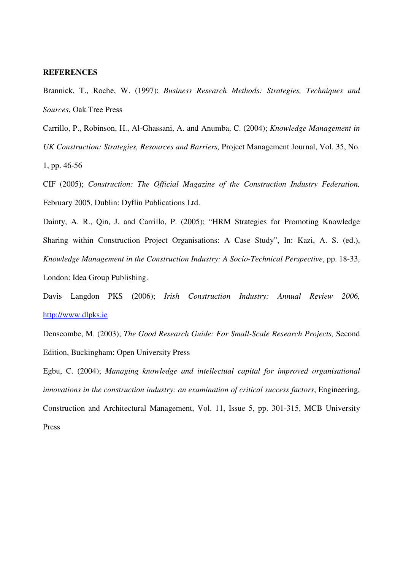#### **REFERENCES**

Brannick, T., Roche, W. (1997); *Business Research Methods: Strategies, Techniques and Sources*, Oak Tree Press

Carrillo, P., Robinson, H., Al-Ghassani, A. and Anumba, C. (2004); *Knowledge Management in UK Construction: Strategies, Resources and Barriers,* Project Management Journal, Vol. 35, No. 1, pp. 46-56

CIF (2005); *Construction: The Official Magazine of the Construction Industry Federation,* February 2005, Dublin: Dyflin Publications Ltd.

Dainty, A. R., Qin, J. and Carrillo, P. (2005); "HRM Strategies for Promoting Knowledge Sharing within Construction Project Organisations: A Case Study", In: Kazi, A. S. (ed.), *Knowledge Management in the Construction Industry: A Socio-Technical Perspective*, pp. 18-33, London: Idea Group Publishing.

Davis Langdon PKS (2006); *Irish Construction Industry: Annual Review 2006,*  http://www.dlpks.ie

Denscombe, M. (2003); *The Good Research Guide: For Small-Scale Research Projects,* Second Edition, Buckingham: Open University Press

Egbu, C. (2004); *Managing knowledge and intellectual capital for improved organisational innovations in the construction industry: an examination of critical success factors*, Engineering, Construction and Architectural Management, Vol. 11, Issue 5, pp. 301-315, MCB University Press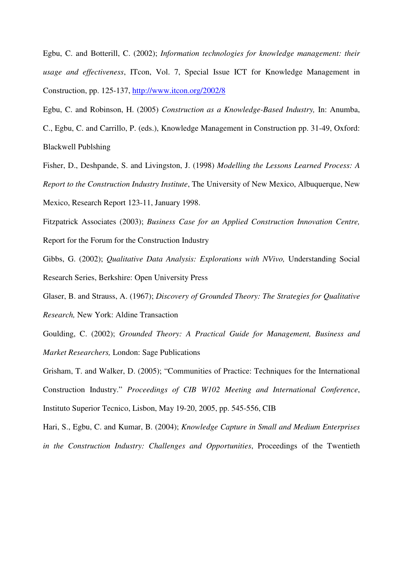Egbu, C. and Botterill, C. (2002); *Information technologies for knowledge management: their usage and effectiveness*, ITcon, Vol. 7, Special Issue ICT for Knowledge Management in Construction, pp. 125-137, http://www.itcon.org/2002/8

Egbu, C. and Robinson, H. (2005) *Construction as a Knowledge-Based Industry,* In: Anumba, C., Egbu, C. and Carrillo, P. (eds.), Knowledge Management in Construction pp. 31-49, Oxford: Blackwell Publshing

Fisher, D., Deshpande, S. and Livingston, J. (1998) *Modelling the Lessons Learned Process: A Report to the Construction Industry Institute*, The University of New Mexico, Albuquerque, New Mexico, Research Report 123-11, January 1998.

Fitzpatrick Associates (2003); *Business Case for an Applied Construction Innovation Centre,*  Report for the Forum for the Construction Industry

Gibbs, G. (2002); *Qualitative Data Analysis: Explorations with NVivo,* Understanding Social Research Series, Berkshire: Open University Press

Glaser, B. and Strauss, A. (1967); *Discovery of Grounded Theory: The Strategies for Qualitative Research,* New York: Aldine Transaction

Goulding, C. (2002); *Grounded Theory: A Practical Guide for Management, Business and Market Researchers,* London: Sage Publications

Grisham, T. and Walker, D. (2005); "Communities of Practice: Techniques for the International Construction Industry." *Proceedings of CIB W102 Meeting and International Conference*, Instituto Superior Tecnico, Lisbon, May 19-20, 2005, pp. 545-556, CIB

Hari, S., Egbu, C. and Kumar, B. (2004); *Knowledge Capture in Small and Medium Enterprises in the Construction Industry: Challenges and Opportunities*, Proceedings of the Twentieth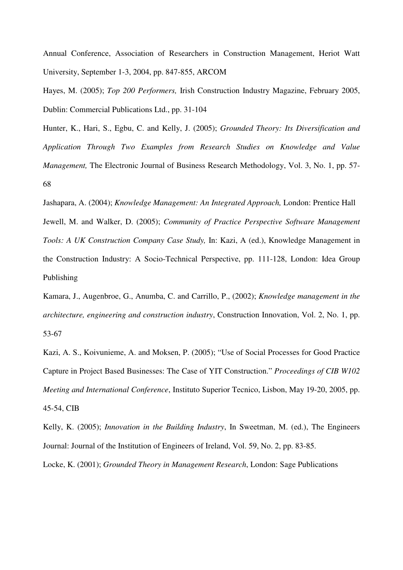Annual Conference, Association of Researchers in Construction Management, Heriot Watt University, September 1-3, 2004, pp. 847-855, ARCOM

Hayes, M. (2005); *Top 200 Performers,* Irish Construction Industry Magazine, February 2005, Dublin: Commercial Publications Ltd., pp. 31-104

Hunter, K., Hari, S., Egbu, C. and Kelly, J. (2005); *Grounded Theory: Its Diversification and Application Through Two Examples from Research Studies on Knowledge and Value Management*, The Electronic Journal of Business Research Methodology, Vol. 3, No. 1, pp. 57-68

Jashapara, A. (2004); *Knowledge Management: An Integrated Approach,* London: Prentice Hall Jewell, M. and Walker, D. (2005); *Community of Practice Perspective Software Management Tools: A UK Construction Company Case Study,* In: Kazi, A (ed.), Knowledge Management in the Construction Industry: A Socio-Technical Perspective, pp. 111-128, London: Idea Group Publishing

Kamara, J., Augenbroe, G., Anumba, C. and Carrillo, P., (2002); *Knowledge management in the architecture, engineering and construction industry*, Construction Innovation, Vol. 2, No. 1, pp. 53-67

Kazi, A. S., Koivunieme, A. and Moksen, P. (2005); "Use of Social Processes for Good Practice Capture in Project Based Businesses: The Case of YIT Construction." *Proceedings of CIB W102 Meeting and International Conference*, Instituto Superior Tecnico, Lisbon, May 19-20, 2005, pp. 45-54, CIB

Kelly, K. (2005); *Innovation in the Building Industry*, In Sweetman, M. (ed.), The Engineers Journal: Journal of the Institution of Engineers of Ireland, Vol. 59, No. 2, pp. 83-85.

Locke, K. (2001); *Grounded Theory in Management Research*, London: Sage Publications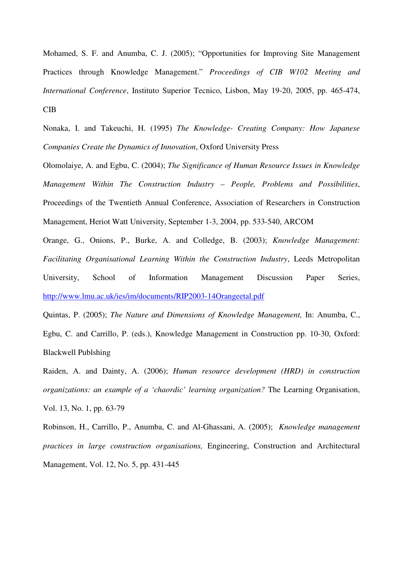Mohamed, S. F. and Anumba, C. J. (2005); "Opportunities for Improving Site Management Practices through Knowledge Management." *Proceedings of CIB W102 Meeting and International Conference*, Instituto Superior Tecnico, Lisbon, May 19-20, 2005, pp. 465-474, CIB

Nonaka, I. and Takeuchi, H. (1995) *The Knowledge- Creating Company: How Japanese Companies Create the Dynamics of Innovation*, Oxford University Press

Olomolaiye, A. and Egbu, C. (2004); *The Significance of Human Resource Issues in Knowledge Management Within The Construction Industry – People, Problems and Possibilities*, Proceedings of the Twentieth Annual Conference, Association of Researchers in Construction Management, Heriot Watt University, September 1-3, 2004, pp. 533-540, ARCOM

Orange, G., Onions, P., Burke, A. and Colledge, B. (2003); *Knowledge Management: Facilitating Organisational Learning Within the Construction Industry*, Leeds Metropolitan University, School of Information Management Discussion Paper Series, http://www.lmu.ac.uk/ies/im/documents/RIP2003-14Orangeetal.pdf

Quintas, P. (2005); *The Nature and Dimensions of Knowledge Management,* In: Anumba, C., Egbu, C. and Carrillo, P. (eds.), Knowledge Management in Construction pp. 10-30, Oxford: Blackwell Publshing

Raiden, A. and Dainty, A. (2006); *Human resource development (HRD) in construction organizations: an example of a 'chaordic' learning organization?* The Learning Organisation, Vol. 13, No. 1, pp. 63-79

Robinson, H., Carrillo, P., Anumba, C. and Al-Ghassani, A. (2005); *Knowledge management practices in large construction organisations,* Engineering, Construction and Architectural Management, Vol. 12, No. 5, pp. 431-445